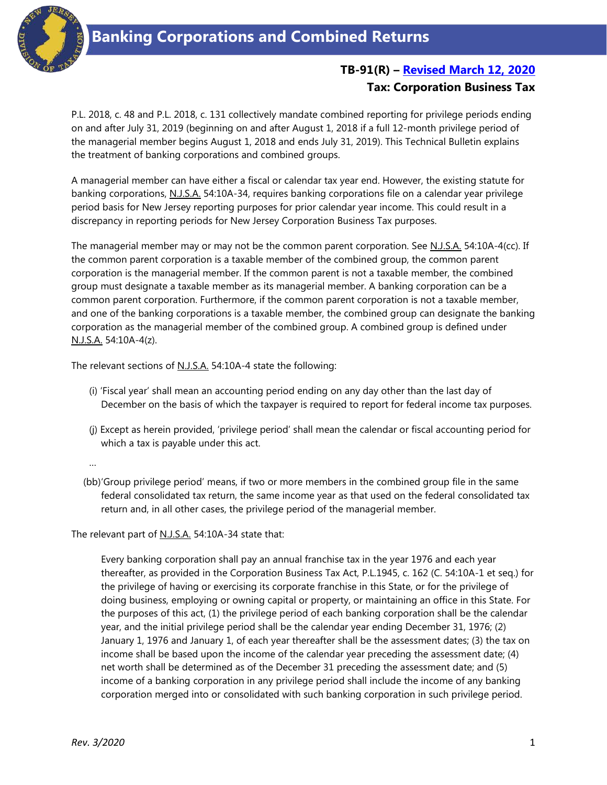

## **TB-91(R) – Revised March [12, 2020](#page-2-0) Tax: Corporation Business Tax**

P.L. 2018, c. 48 and P.L. 2018, c. 131 collectively mandate combined reporting for privilege periods ending on and after July 31, 2019 (beginning on and after August 1, 2018 if a full 12-month privilege period of the managerial member begins August 1, 2018 and ends July 31, 2019). This Technical Bulletin explains the treatment of banking corporations and combined groups.

A managerial member can have either a fiscal or calendar tax year end. However, the existing statute for banking corporations, N.J.S.A. 54:10A-34, requires banking corporations file on a calendar year privilege period basis for New Jersey reporting purposes for prior calendar year income. This could result in a discrepancy in reporting periods for New Jersey Corporation Business Tax purposes.

The managerial member may or may not be the common parent corporation. See N.J.S.A. 54:10A-4(cc). If the common parent corporation is a taxable member of the combined group, the common parent corporation is the managerial member. If the common parent is not a taxable member, the combined group must designate a taxable member as its managerial member. A banking corporation can be a common parent corporation. Furthermore, if the common parent corporation is not a taxable member, and one of the banking corporations is a taxable member, the combined group can designate the banking corporation as the managerial member of the combined group. A combined group is defined under N.J.S.A. 54:10A-4(z).

The relevant sections of N.J.S.A. 54:10A-4 state the following:

- (i) 'Fiscal year' shall mean an accounting period ending on any day other than the last day of December on the basis of which the taxpayer is required to report for federal income tax purposes.
- (j) Except as herein provided, 'privilege period' shall mean the calendar or fiscal accounting period for which a tax is payable under this act.

…

(bb)'Group privilege period' means, if two or more members in the combined group file in the same federal consolidated tax return, the same income year as that used on the federal consolidated tax return and, in all other cases, the privilege period of the managerial member.

The relevant part of N.J.S.A. 54:10A-34 state that:

Every banking corporation shall pay an annual franchise tax in the year 1976 and each year thereafter, as provided in the Corporation Business Tax Act, P.L.1945, c. 162 (C. 54:10A-1 et seq.) for the privilege of having or exercising its corporate franchise in this State, or for the privilege of doing business, employing or owning capital or property, or maintaining an office in this State. For the purposes of this act, (1) the privilege period of each banking corporation shall be the calendar year, and the initial privilege period shall be the calendar year ending December 31, 1976; (2) January 1, 1976 and January 1, of each year thereafter shall be the assessment dates; (3) the tax on income shall be based upon the income of the calendar year preceding the assessment date; (4) net worth shall be determined as of the December 31 preceding the assessment date; and (5) income of a banking corporation in any privilege period shall include the income of any banking corporation merged into or consolidated with such banking corporation in such privilege period.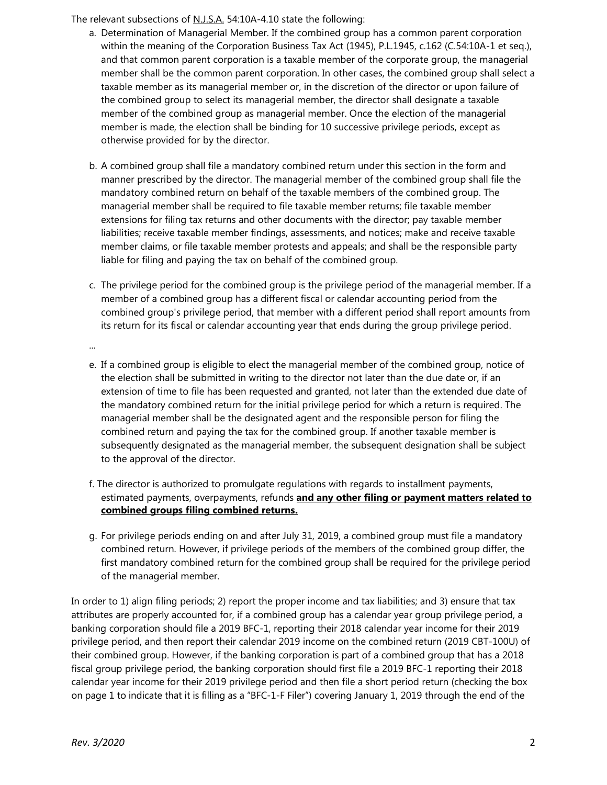The relevant subsections of N.J.S.A. 54:10A-4.10 state the following:

- a. Determination of Managerial Member. If the combined group has a common parent corporation within the meaning of the Corporation Business Tax Act (1945), P.L.1945, c.162 (C.54:10A-1 et seq.), and that common parent corporation is a taxable member of the corporate group, the managerial member shall be the common parent corporation. In other cases, the combined group shall select a taxable member as its managerial member or, in the discretion of the director or upon failure of the combined group to select its managerial member, the director shall designate a taxable member of the combined group as managerial member. Once the election of the managerial member is made, the election shall be binding for 10 successive privilege periods, except as otherwise provided for by the director.
- b. A combined group shall file a mandatory combined return under this section in the form and manner prescribed by the director. The managerial member of the combined group shall file the mandatory combined return on behalf of the taxable members of the combined group. The managerial member shall be required to file taxable member returns; file taxable member extensions for filing tax returns and other documents with the director; pay taxable member liabilities; receive taxable member findings, assessments, and notices; make and receive taxable member claims, or file taxable member protests and appeals; and shall be the responsible party liable for filing and paying the tax on behalf of the combined group.
- c. The privilege period for the combined group is the privilege period of the managerial member. If a member of a combined group has a different fiscal or calendar accounting period from the combined group's privilege period, that member with a different period shall report amounts from its return for its fiscal or calendar accounting year that ends during the group privilege period.

...

- e. If a combined group is eligible to elect the managerial member of the combined group, notice of the election shall be submitted in writing to the director not later than the due date or, if an extension of time to file has been requested and granted, not later than the extended due date of the mandatory combined return for the initial privilege period for which a return is required. The managerial member shall be the designated agent and the responsible person for filing the combined return and paying the tax for the combined group. If another taxable member is subsequently designated as the managerial member, the subsequent designation shall be subject to the approval of the director.
- f. The director is authorized to promulgate regulations with regards to installment payments, estimated payments, overpayments, refunds **and any other filing or payment matters related to combined groups filing combined returns.**
- g. For privilege periods ending on and after July 31, 2019, a combined group must file a mandatory combined return. However, if privilege periods of the members of the combined group differ, the first mandatory combined return for the combined group shall be required for the privilege period of the managerial member.

In order to 1) align filing periods; 2) report the proper income and tax liabilities; and 3) ensure that tax attributes are properly accounted for, if a combined group has a calendar year group privilege period, a banking corporation should file a 2019 BFC-1, reporting their 2018 calendar year income for their 2019 privilege period, and then report their calendar 2019 income on the combined return (2019 CBT-100U) of their combined group. However, if the banking corporation is part of a combined group that has a 2018 fiscal group privilege period, the banking corporation should first file a 2019 BFC-1 reporting their 2018 calendar year income for their 2019 privilege period and then file a short period return (checking the box on page 1 to indicate that it is filling as a "BFC-1-F Filer") covering January 1, 2019 through the end of the